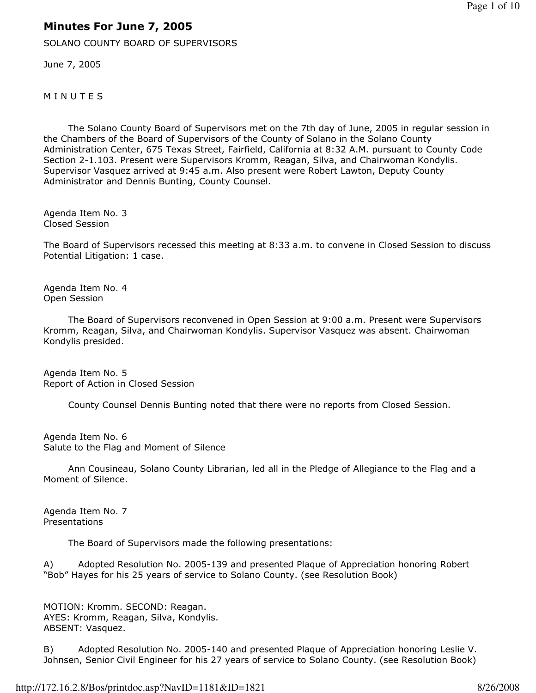## Minutes For June 7, 2005

SOLANO COUNTY BOARD OF SUPERVISORS

June 7, 2005

**MINUTES** 

 The Solano County Board of Supervisors met on the 7th day of June, 2005 in regular session in the Chambers of the Board of Supervisors of the County of Solano in the Solano County Administration Center, 675 Texas Street, Fairfield, California at 8:32 A.M. pursuant to County Code Section 2-1.103. Present were Supervisors Kromm, Reagan, Silva, and Chairwoman Kondylis. Supervisor Vasquez arrived at 9:45 a.m. Also present were Robert Lawton, Deputy County Administrator and Dennis Bunting, County Counsel.

Agenda Item No. 3 Closed Session

The Board of Supervisors recessed this meeting at 8:33 a.m. to convene in Closed Session to discuss Potential Litigation: 1 case.

Agenda Item No. 4 Open Session

 The Board of Supervisors reconvened in Open Session at 9:00 a.m. Present were Supervisors Kromm, Reagan, Silva, and Chairwoman Kondylis. Supervisor Vasquez was absent. Chairwoman Kondylis presided.

Agenda Item No. 5 Report of Action in Closed Session

County Counsel Dennis Bunting noted that there were no reports from Closed Session.

Agenda Item No. 6 Salute to the Flag and Moment of Silence

 Ann Cousineau, Solano County Librarian, led all in the Pledge of Allegiance to the Flag and a Moment of Silence.

Agenda Item No. 7 Presentations

The Board of Supervisors made the following presentations:

A) Adopted Resolution No. 2005-139 and presented Plaque of Appreciation honoring Robert "Bob" Hayes for his 25 years of service to Solano County. (see Resolution Book)

MOTION: Kromm. SECOND: Reagan. AYES: Kromm, Reagan, Silva, Kondylis. ABSENT: Vasquez.

B) Adopted Resolution No. 2005-140 and presented Plaque of Appreciation honoring Leslie V. Johnsen, Senior Civil Engineer for his 27 years of service to Solano County. (see Resolution Book)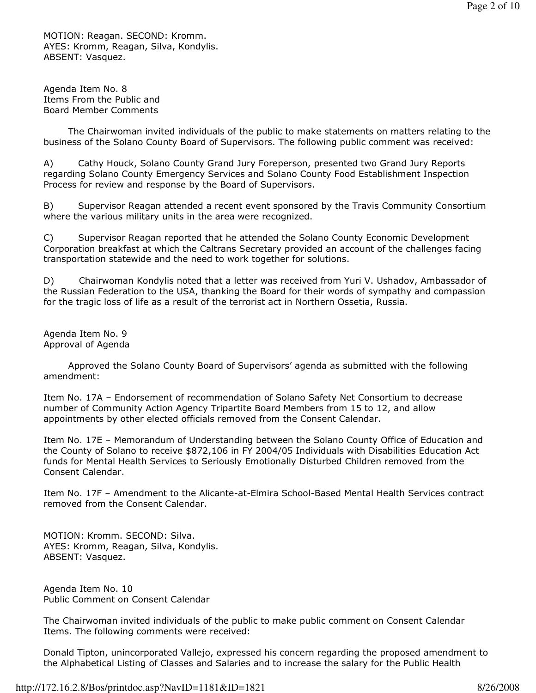MOTION: Reagan. SECOND: Kromm. AYES: Kromm, Reagan, Silva, Kondylis. ABSENT: Vasquez.

Agenda Item No. 8 Items From the Public and Board Member Comments

 The Chairwoman invited individuals of the public to make statements on matters relating to the business of the Solano County Board of Supervisors. The following public comment was received:

A) Cathy Houck, Solano County Grand Jury Foreperson, presented two Grand Jury Reports regarding Solano County Emergency Services and Solano County Food Establishment Inspection Process for review and response by the Board of Supervisors.

B) Supervisor Reagan attended a recent event sponsored by the Travis Community Consortium where the various military units in the area were recognized.

C) Supervisor Reagan reported that he attended the Solano County Economic Development Corporation breakfast at which the Caltrans Secretary provided an account of the challenges facing transportation statewide and the need to work together for solutions.

D) Chairwoman Kondylis noted that a letter was received from Yuri V. Ushadov, Ambassador of the Russian Federation to the USA, thanking the Board for their words of sympathy and compassion for the tragic loss of life as a result of the terrorist act in Northern Ossetia, Russia.

Agenda Item No. 9 Approval of Agenda

 Approved the Solano County Board of Supervisors' agenda as submitted with the following amendment:

Item No. 17A – Endorsement of recommendation of Solano Safety Net Consortium to decrease number of Community Action Agency Tripartite Board Members from 15 to 12, and allow appointments by other elected officials removed from the Consent Calendar.

Item No. 17E – Memorandum of Understanding between the Solano County Office of Education and the County of Solano to receive \$872,106 in FY 2004/05 Individuals with Disabilities Education Act funds for Mental Health Services to Seriously Emotionally Disturbed Children removed from the Consent Calendar.

Item No. 17F – Amendment to the Alicante-at-Elmira School-Based Mental Health Services contract removed from the Consent Calendar.

MOTION: Kromm. SECOND: Silva. AYES: Kromm, Reagan, Silva, Kondylis. ABSENT: Vasquez.

Agenda Item No. 10 Public Comment on Consent Calendar

The Chairwoman invited individuals of the public to make public comment on Consent Calendar Items. The following comments were received:

Donald Tipton, unincorporated Vallejo, expressed his concern regarding the proposed amendment to the Alphabetical Listing of Classes and Salaries and to increase the salary for the Public Health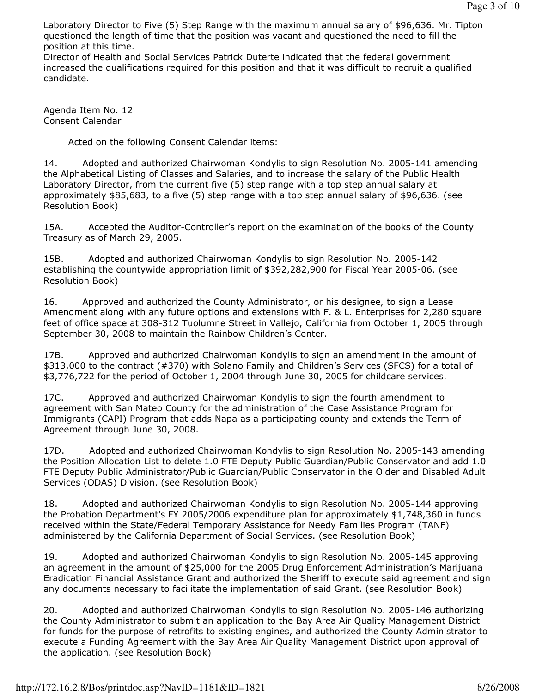Laboratory Director to Five (5) Step Range with the maximum annual salary of \$96,636. Mr. Tipton questioned the length of time that the position was vacant and questioned the need to fill the position at this time.

Director of Health and Social Services Patrick Duterte indicated that the federal government increased the qualifications required for this position and that it was difficult to recruit a qualified candidate.

Agenda Item No. 12 Consent Calendar

Acted on the following Consent Calendar items:

14. Adopted and authorized Chairwoman Kondylis to sign Resolution No. 2005-141 amending the Alphabetical Listing of Classes and Salaries, and to increase the salary of the Public Health Laboratory Director, from the current five (5) step range with a top step annual salary at approximately \$85,683, to a five (5) step range with a top step annual salary of \$96,636. (see Resolution Book)

15A. Accepted the Auditor-Controller's report on the examination of the books of the County Treasury as of March 29, 2005.

15B. Adopted and authorized Chairwoman Kondylis to sign Resolution No. 2005-142 establishing the countywide appropriation limit of \$392,282,900 for Fiscal Year 2005-06. (see Resolution Book)

16. Approved and authorized the County Administrator, or his designee, to sign a Lease Amendment along with any future options and extensions with F. & L. Enterprises for 2,280 square feet of office space at 308-312 Tuolumne Street in Vallejo, California from October 1, 2005 through September 30, 2008 to maintain the Rainbow Children's Center.

17B. Approved and authorized Chairwoman Kondylis to sign an amendment in the amount of \$313,000 to the contract (#370) with Solano Family and Children's Services (SFCS) for a total of \$3,776,722 for the period of October 1, 2004 through June 30, 2005 for childcare services.

17C. Approved and authorized Chairwoman Kondylis to sign the fourth amendment to agreement with San Mateo County for the administration of the Case Assistance Program for Immigrants (CAPI) Program that adds Napa as a participating county and extends the Term of Agreement through June 30, 2008.

17D. Adopted and authorized Chairwoman Kondylis to sign Resolution No. 2005-143 amending the Position Allocation List to delete 1.0 FTE Deputy Public Guardian/Public Conservator and add 1.0 FTE Deputy Public Administrator/Public Guardian/Public Conservator in the Older and Disabled Adult Services (ODAS) Division. (see Resolution Book)

18. Adopted and authorized Chairwoman Kondylis to sign Resolution No. 2005-144 approving the Probation Department's FY 2005/2006 expenditure plan for approximately \$1,748,360 in funds received within the State/Federal Temporary Assistance for Needy Families Program (TANF) administered by the California Department of Social Services. (see Resolution Book)

19. Adopted and authorized Chairwoman Kondylis to sign Resolution No. 2005-145 approving an agreement in the amount of \$25,000 for the 2005 Drug Enforcement Administration's Marijuana Eradication Financial Assistance Grant and authorized the Sheriff to execute said agreement and sign any documents necessary to facilitate the implementation of said Grant. (see Resolution Book)

20. Adopted and authorized Chairwoman Kondylis to sign Resolution No. 2005-146 authorizing the County Administrator to submit an application to the Bay Area Air Quality Management District for funds for the purpose of retrofits to existing engines, and authorized the County Administrator to execute a Funding Agreement with the Bay Area Air Quality Management District upon approval of the application. (see Resolution Book)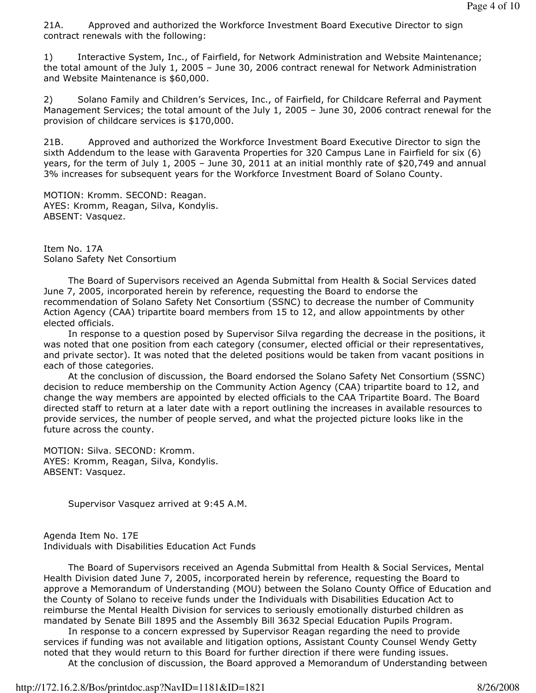21A. Approved and authorized the Workforce Investment Board Executive Director to sign contract renewals with the following:

1) Interactive System, Inc., of Fairfield, for Network Administration and Website Maintenance; the total amount of the July 1, 2005 – June 30, 2006 contract renewal for Network Administration and Website Maintenance is \$60,000.

2) Solano Family and Children's Services, Inc., of Fairfield, for Childcare Referral and Payment Management Services; the total amount of the July 1, 2005 – June 30, 2006 contract renewal for the provision of childcare services is \$170,000.

21B. Approved and authorized the Workforce Investment Board Executive Director to sign the sixth Addendum to the lease with Garaventa Properties for 320 Campus Lane in Fairfield for six (6) years, for the term of July 1, 2005 – June 30, 2011 at an initial monthly rate of \$20,749 and annual 3% increases for subsequent years for the Workforce Investment Board of Solano County.

MOTION: Kromm. SECOND: Reagan. AYES: Kromm, Reagan, Silva, Kondylis. ABSENT: Vasquez.

Item No. 17A Solano Safety Net Consortium

 The Board of Supervisors received an Agenda Submittal from Health & Social Services dated June 7, 2005, incorporated herein by reference, requesting the Board to endorse the recommendation of Solano Safety Net Consortium (SSNC) to decrease the number of Community Action Agency (CAA) tripartite board members from 15 to 12, and allow appointments by other elected officials.

 In response to a question posed by Supervisor Silva regarding the decrease in the positions, it was noted that one position from each category (consumer, elected official or their representatives, and private sector). It was noted that the deleted positions would be taken from vacant positions in each of those categories.

 At the conclusion of discussion, the Board endorsed the Solano Safety Net Consortium (SSNC) decision to reduce membership on the Community Action Agency (CAA) tripartite board to 12, and change the way members are appointed by elected officials to the CAA Tripartite Board. The Board directed staff to return at a later date with a report outlining the increases in available resources to provide services, the number of people served, and what the projected picture looks like in the future across the county.

MOTION: Silva. SECOND: Kromm. AYES: Kromm, Reagan, Silva, Kondylis. ABSENT: Vasquez.

Supervisor Vasquez arrived at 9:45 A.M.

Agenda Item No. 17E Individuals with Disabilities Education Act Funds

 The Board of Supervisors received an Agenda Submittal from Health & Social Services, Mental Health Division dated June 7, 2005, incorporated herein by reference, requesting the Board to approve a Memorandum of Understanding (MOU) between the Solano County Office of Education and the County of Solano to receive funds under the Individuals with Disabilities Education Act to reimburse the Mental Health Division for services to seriously emotionally disturbed children as mandated by Senate Bill 1895 and the Assembly Bill 3632 Special Education Pupils Program.

 In response to a concern expressed by Supervisor Reagan regarding the need to provide services if funding was not available and litigation options, Assistant County Counsel Wendy Getty noted that they would return to this Board for further direction if there were funding issues. At the conclusion of discussion, the Board approved a Memorandum of Understanding between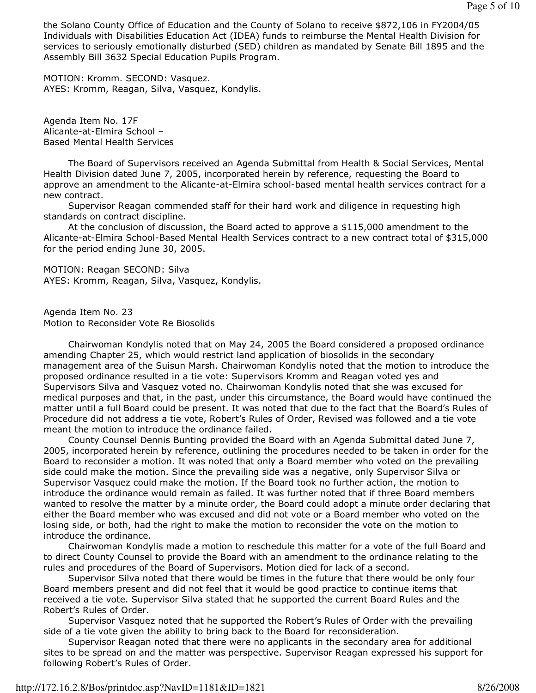the Solano County Office of Education and the County of Solano to receive \$872,106 in FY2004/05 Individuals with Disabilities Education Act (IDEA) funds to reimburse the Mental Health Division for services to seriously emotionally disturbed (SED) children as mandated by Senate Bill 1895 and the Assembly Bill 3632 Special Education Pupils Program.

MOTION: Kromm. SECOND: Vasquez. AYES: Kromm, Reagan, Silva, Vasquez, Kondylis.

Agenda Item No. 17F Alicante-at-Elmira School – Based Mental Health Services

 The Board of Supervisors received an Agenda Submittal from Health & Social Services, Mental Health Division dated June 7, 2005, incorporated herein by reference, requesting the Board to approve an amendment to the Alicante-at-Elmira school-based mental health services contract for a new contract.

 Supervisor Reagan commended staff for their hard work and diligence in requesting high standards on contract discipline.

 At the conclusion of discussion, the Board acted to approve a \$115,000 amendment to the Alicante-at-Elmira School-Based Mental Health Services contract to a new contract total of \$315,000 for the period ending June 30, 2005.

MOTION: Reagan SECOND: Silva AYES: Kromm, Reagan, Silva, Vasquez, Kondylis.

Agenda Item No. 23 Motion to Reconsider Vote Re Biosolids

 Chairwoman Kondylis noted that on May 24, 2005 the Board considered a proposed ordinance amending Chapter 25, which would restrict land application of biosolids in the secondary management area of the Suisun Marsh. Chairwoman Kondylis noted that the motion to introduce the proposed ordinance resulted in a tie vote: Supervisors Kromm and Reagan voted yes and Supervisors Silva and Vasquez voted no. Chairwoman Kondylis noted that she was excused for medical purposes and that, in the past, under this circumstance, the Board would have continued the matter until a full Board could be present. It was noted that due to the fact that the Board's Rules of Procedure did not address a tie vote, Robert's Rules of Order, Revised was followed and a tie vote meant the motion to introduce the ordinance failed.

 County Counsel Dennis Bunting provided the Board with an Agenda Submittal dated June 7, 2005, incorporated herein by reference, outlining the procedures needed to be taken in order for the Board to reconsider a motion. It was noted that only a Board member who voted on the prevailing side could make the motion. Since the prevailing side was a negative, only Supervisor Silva or Supervisor Vasquez could make the motion. If the Board took no further action, the motion to introduce the ordinance would remain as failed. It was further noted that if three Board members wanted to resolve the matter by a minute order, the Board could adopt a minute order declaring that either the Board member who was excused and did not vote or a Board member who voted on the losing side, or both, had the right to make the motion to reconsider the vote on the motion to introduce the ordinance.

 Chairwoman Kondylis made a motion to reschedule this matter for a vote of the full Board and to direct County Counsel to provide the Board with an amendment to the ordinance relating to the rules and procedures of the Board of Supervisors. Motion died for lack of a second.

 Supervisor Silva noted that there would be times in the future that there would be only four Board members present and did not feel that it would be good practice to continue items that received a tie vote. Supervisor Silva stated that he supported the current Board Rules and the Robert's Rules of Order.

 Supervisor Vasquez noted that he supported the Robert's Rules of Order with the prevailing side of a tie vote given the ability to bring back to the Board for reconsideration.

 Supervisor Reagan noted that there were no applicants in the secondary area for additional sites to be spread on and the matter was perspective. Supervisor Reagan expressed his support for following Robert's Rules of Order.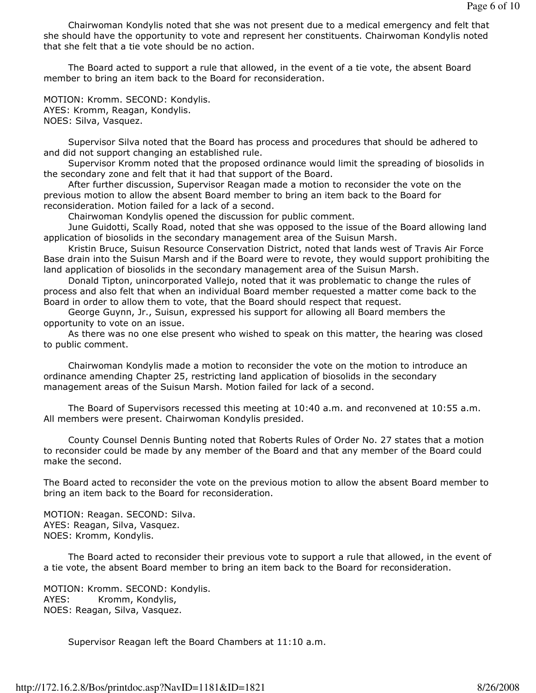Chairwoman Kondylis noted that she was not present due to a medical emergency and felt that she should have the opportunity to vote and represent her constituents. Chairwoman Kondylis noted that she felt that a tie vote should be no action.

 The Board acted to support a rule that allowed, in the event of a tie vote, the absent Board member to bring an item back to the Board for reconsideration.

MOTION: Kromm. SECOND: Kondylis. AYES: Kromm, Reagan, Kondylis. NOES: Silva, Vasquez.

 Supervisor Silva noted that the Board has process and procedures that should be adhered to and did not support changing an established rule.

 Supervisor Kromm noted that the proposed ordinance would limit the spreading of biosolids in the secondary zone and felt that it had that support of the Board.

 After further discussion, Supervisor Reagan made a motion to reconsider the vote on the previous motion to allow the absent Board member to bring an item back to the Board for reconsideration. Motion failed for a lack of a second.

Chairwoman Kondylis opened the discussion for public comment.

 June Guidotti, Scally Road, noted that she was opposed to the issue of the Board allowing land application of biosolids in the secondary management area of the Suisun Marsh.

 Kristin Bruce, Suisun Resource Conservation District, noted that lands west of Travis Air Force Base drain into the Suisun Marsh and if the Board were to revote, they would support prohibiting the land application of biosolids in the secondary management area of the Suisun Marsh.

 Donald Tipton, unincorporated Vallejo, noted that it was problematic to change the rules of process and also felt that when an individual Board member requested a matter come back to the Board in order to allow them to vote, that the Board should respect that request.

 George Guynn, Jr., Suisun, expressed his support for allowing all Board members the opportunity to vote on an issue.

 As there was no one else present who wished to speak on this matter, the hearing was closed to public comment.

 Chairwoman Kondylis made a motion to reconsider the vote on the motion to introduce an ordinance amending Chapter 25, restricting land application of biosolids in the secondary management areas of the Suisun Marsh. Motion failed for lack of a second.

 The Board of Supervisors recessed this meeting at 10:40 a.m. and reconvened at 10:55 a.m. All members were present. Chairwoman Kondylis presided.

 County Counsel Dennis Bunting noted that Roberts Rules of Order No. 27 states that a motion to reconsider could be made by any member of the Board and that any member of the Board could make the second.

The Board acted to reconsider the vote on the previous motion to allow the absent Board member to bring an item back to the Board for reconsideration.

MOTION: Reagan. SECOND: Silva. AYES: Reagan, Silva, Vasquez. NOES: Kromm, Kondylis.

 The Board acted to reconsider their previous vote to support a rule that allowed, in the event of a tie vote, the absent Board member to bring an item back to the Board for reconsideration.

MOTION: Kromm. SECOND: Kondylis. AYES: Kromm, Kondylis, NOES: Reagan, Silva, Vasquez.

Supervisor Reagan left the Board Chambers at 11:10 a.m.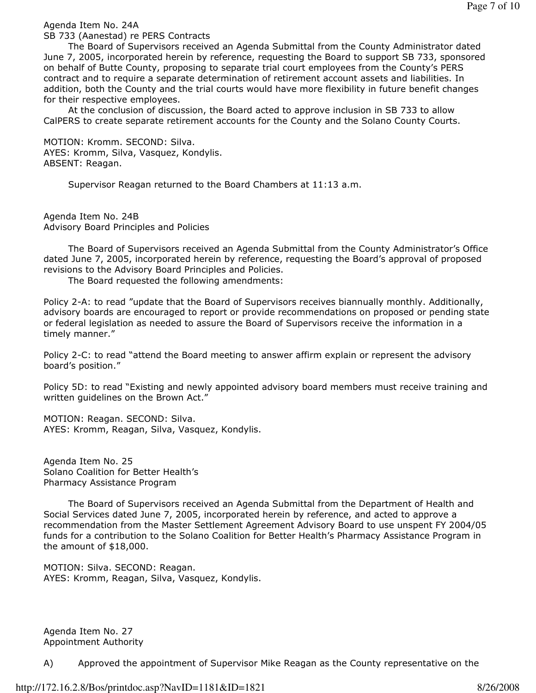Agenda Item No. 24A

SB 733 (Aanestad) re PERS Contracts

 The Board of Supervisors received an Agenda Submittal from the County Administrator dated June 7, 2005, incorporated herein by reference, requesting the Board to support SB 733, sponsored on behalf of Butte County, proposing to separate trial court employees from the County's PERS contract and to require a separate determination of retirement account assets and liabilities. In addition, both the County and the trial courts would have more flexibility in future benefit changes for their respective employees.

 At the conclusion of discussion, the Board acted to approve inclusion in SB 733 to allow CalPERS to create separate retirement accounts for the County and the Solano County Courts.

MOTION: Kromm. SECOND: Silva. AYES: Kromm, Silva, Vasquez, Kondylis. ABSENT: Reagan.

Supervisor Reagan returned to the Board Chambers at 11:13 a.m.

Agenda Item No. 24B Advisory Board Principles and Policies

 The Board of Supervisors received an Agenda Submittal from the County Administrator's Office dated June 7, 2005, incorporated herein by reference, requesting the Board's approval of proposed revisions to the Advisory Board Principles and Policies.

The Board requested the following amendments:

Policy 2-A: to read "update that the Board of Supervisors receives biannually monthly. Additionally, advisory boards are encouraged to report or provide recommendations on proposed or pending state or federal legislation as needed to assure the Board of Supervisors receive the information in a timely manner."

Policy 2-C: to read "attend the Board meeting to answer affirm explain or represent the advisory board's position."

Policy 5D: to read "Existing and newly appointed advisory board members must receive training and written guidelines on the Brown Act."

MOTION: Reagan. SECOND: Silva. AYES: Kromm, Reagan, Silva, Vasquez, Kondylis.

Agenda Item No. 25 Solano Coalition for Better Health's Pharmacy Assistance Program

 The Board of Supervisors received an Agenda Submittal from the Department of Health and Social Services dated June 7, 2005, incorporated herein by reference, and acted to approve a recommendation from the Master Settlement Agreement Advisory Board to use unspent FY 2004/05 funds for a contribution to the Solano Coalition for Better Health's Pharmacy Assistance Program in the amount of \$18,000.

MOTION: Silva. SECOND: Reagan. AYES: Kromm, Reagan, Silva, Vasquez, Kondylis.

Agenda Item No. 27 Appointment Authority

A) Approved the appointment of Supervisor Mike Reagan as the County representative on the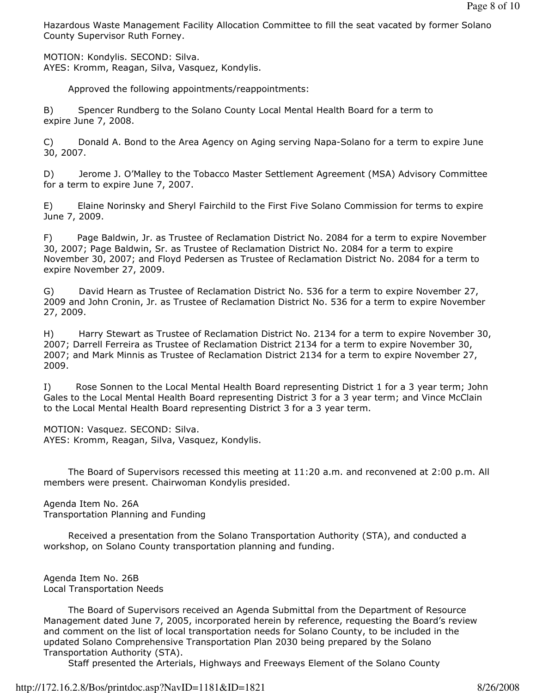Hazardous Waste Management Facility Allocation Committee to fill the seat vacated by former Solano County Supervisor Ruth Forney.

MOTION: Kondylis. SECOND: Silva. AYES: Kromm, Reagan, Silva, Vasquez, Kondylis.

Approved the following appointments/reappointments:

B) Spencer Rundberg to the Solano County Local Mental Health Board for a term to expire June 7, 2008.

C) Donald A. Bond to the Area Agency on Aging serving Napa-Solano for a term to expire June 30, 2007.

D) Jerome J. O'Malley to the Tobacco Master Settlement Agreement (MSA) Advisory Committee for a term to expire June 7, 2007.

E) Elaine Norinsky and Sheryl Fairchild to the First Five Solano Commission for terms to expire June 7, 2009.

F) Page Baldwin, Jr. as Trustee of Reclamation District No. 2084 for a term to expire November 30, 2007; Page Baldwin, Sr. as Trustee of Reclamation District No. 2084 for a term to expire November 30, 2007; and Floyd Pedersen as Trustee of Reclamation District No. 2084 for a term to expire November 27, 2009.

G) David Hearn as Trustee of Reclamation District No. 536 for a term to expire November 27, 2009 and John Cronin, Jr. as Trustee of Reclamation District No. 536 for a term to expire November 27, 2009.

H) Harry Stewart as Trustee of Reclamation District No. 2134 for a term to expire November 30, 2007; Darrell Ferreira as Trustee of Reclamation District 2134 for a term to expire November 30, 2007; and Mark Minnis as Trustee of Reclamation District 2134 for a term to expire November 27, 2009.

I) Rose Sonnen to the Local Mental Health Board representing District 1 for a 3 year term; John Gales to the Local Mental Health Board representing District 3 for a 3 year term; and Vince McClain to the Local Mental Health Board representing District 3 for a 3 year term.

MOTION: Vasquez. SECOND: Silva. AYES: Kromm, Reagan, Silva, Vasquez, Kondylis.

 The Board of Supervisors recessed this meeting at 11:20 a.m. and reconvened at 2:00 p.m. All members were present. Chairwoman Kondylis presided.

Agenda Item No. 26A Transportation Planning and Funding

 Received a presentation from the Solano Transportation Authority (STA), and conducted a workshop, on Solano County transportation planning and funding.

Agenda Item No. 26B Local Transportation Needs

 The Board of Supervisors received an Agenda Submittal from the Department of Resource Management dated June 7, 2005, incorporated herein by reference, requesting the Board's review and comment on the list of local transportation needs for Solano County, to be included in the updated Solano Comprehensive Transportation Plan 2030 being prepared by the Solano Transportation Authority (STA).

Staff presented the Arterials, Highways and Freeways Element of the Solano County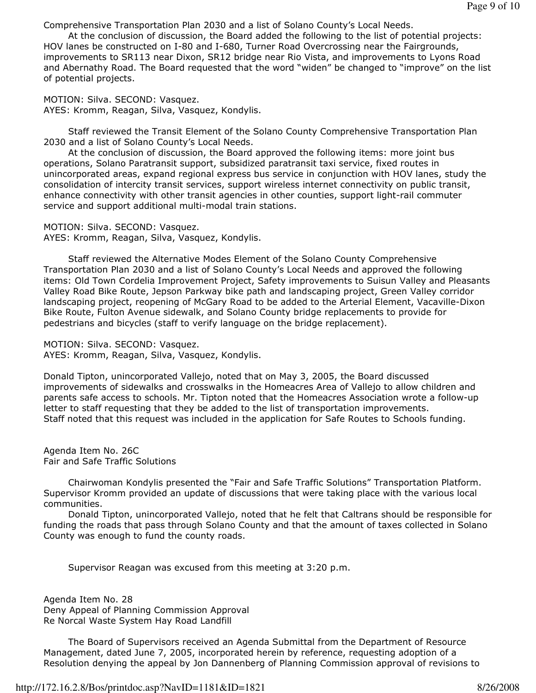Comprehensive Transportation Plan 2030 and a list of Solano County's Local Needs.

 At the conclusion of discussion, the Board added the following to the list of potential projects: HOV lanes be constructed on I-80 and I-680, Turner Road Overcrossing near the Fairgrounds, improvements to SR113 near Dixon, SR12 bridge near Rio Vista, and improvements to Lyons Road and Abernathy Road. The Board requested that the word "widen" be changed to "improve" on the list of potential projects.

MOTION: Silva. SECOND: Vasquez. AYES: Kromm, Reagan, Silva, Vasquez, Kondylis.

 Staff reviewed the Transit Element of the Solano County Comprehensive Transportation Plan 2030 and a list of Solano County's Local Needs.

 At the conclusion of discussion, the Board approved the following items: more joint bus operations, Solano Paratransit support, subsidized paratransit taxi service, fixed routes in unincorporated areas, expand regional express bus service in conjunction with HOV lanes, study the consolidation of intercity transit services, support wireless internet connectivity on public transit, enhance connectivity with other transit agencies in other counties, support light-rail commuter service and support additional multi-modal train stations.

MOTION: Silva. SECOND: Vasquez. AYES: Kromm, Reagan, Silva, Vasquez, Kondylis.

 Staff reviewed the Alternative Modes Element of the Solano County Comprehensive Transportation Plan 2030 and a list of Solano County's Local Needs and approved the following items: Old Town Cordelia Improvement Project, Safety improvements to Suisun Valley and Pleasants Valley Road Bike Route, Jepson Parkway bike path and landscaping project, Green Valley corridor landscaping project, reopening of McGary Road to be added to the Arterial Element, Vacaville-Dixon Bike Route, Fulton Avenue sidewalk, and Solano County bridge replacements to provide for pedestrians and bicycles (staff to verify language on the bridge replacement).

MOTION: Silva. SECOND: Vasquez. AYES: Kromm, Reagan, Silva, Vasquez, Kondylis.

Donald Tipton, unincorporated Vallejo, noted that on May 3, 2005, the Board discussed improvements of sidewalks and crosswalks in the Homeacres Area of Vallejo to allow children and parents safe access to schools. Mr. Tipton noted that the Homeacres Association wrote a follow-up letter to staff requesting that they be added to the list of transportation improvements. Staff noted that this request was included in the application for Safe Routes to Schools funding.

Agenda Item No. 26C Fair and Safe Traffic Solutions

 Chairwoman Kondylis presented the "Fair and Safe Traffic Solutions" Transportation Platform. Supervisor Kromm provided an update of discussions that were taking place with the various local communities.

 Donald Tipton, unincorporated Vallejo, noted that he felt that Caltrans should be responsible for funding the roads that pass through Solano County and that the amount of taxes collected in Solano County was enough to fund the county roads.

Supervisor Reagan was excused from this meeting at 3:20 p.m.

Agenda Item No. 28 Deny Appeal of Planning Commission Approval Re Norcal Waste System Hay Road Landfill

 The Board of Supervisors received an Agenda Submittal from the Department of Resource Management, dated June 7, 2005, incorporated herein by reference, requesting adoption of a Resolution denying the appeal by Jon Dannenberg of Planning Commission approval of revisions to